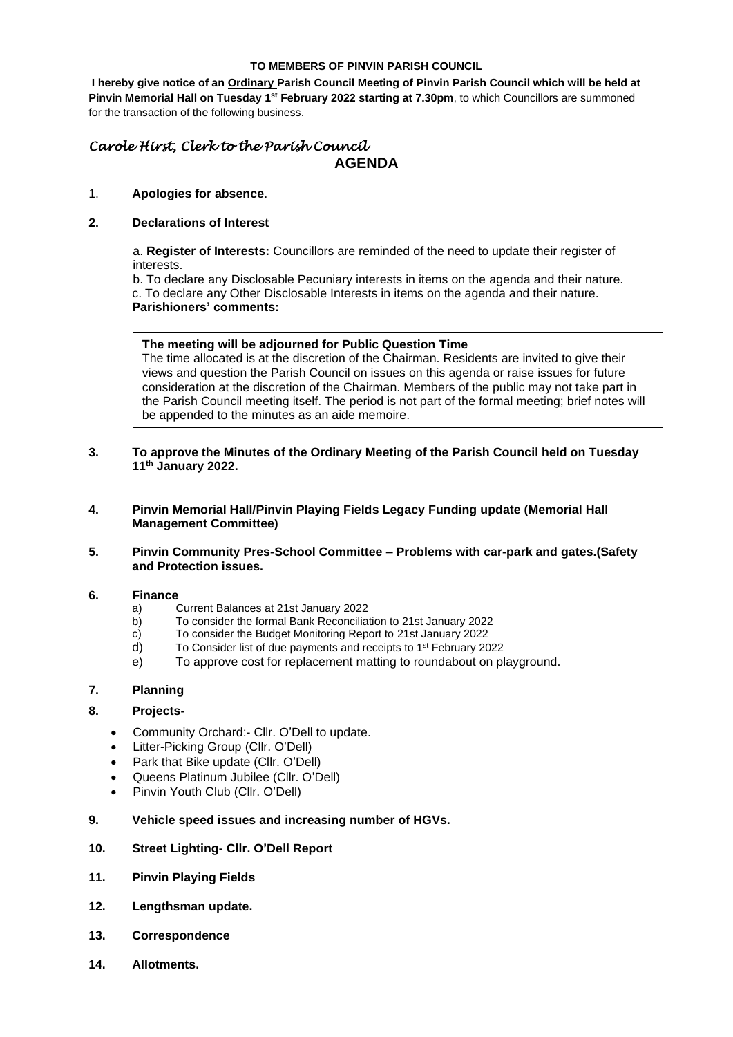#### **TO MEMBERS OF PINVIN PARISH COUNCIL**

**I hereby give notice of an Ordinary Parish Council Meeting of Pinvin Parish Council which will be held at**  Pinvin Memorial Hall on Tuesday 1<sup>st</sup> February 2022 starting at 7.30pm, to which Councillors are summoned for the transaction of the following business.

# *Carole Hirst, Clerk to the Parish Council* **AGENDA**

#### 1. **Apologies for absence**.

## **2. Declarations of Interest**

a. **Register of Interests:** Councillors are reminded of the need to update their register of interests.

b. To declare any Disclosable Pecuniary interests in items on the agenda and their nature. c. To declare any Other Disclosable Interests in items on the agenda and their nature.

# **Parishioners' comments:**

#### **The meeting will be adjourned for Public Question Time**

The time allocated is at the discretion of the Chairman. Residents are invited to give their views and question the Parish Council on issues on this agenda or raise issues for future consideration at the discretion of the Chairman. Members of the public may not take part in the Parish Council meeting itself. The period is not part of the formal meeting; brief notes will be appended to the minutes as an aide memoire.

## **3. To approve the Minutes of the Ordinary Meeting of the Parish Council held on Tuesday 11th January 2022.**

- **4. Pinvin Memorial Hall/Pinvin Playing Fields Legacy Funding update (Memorial Hall Management Committee)**
- **5. Pinvin Community Pres-School Committee – Problems with car-park and gates.(Safety and Protection issues.**

#### **6. Finance**

- a) Current Balances at 21st January 2022
- b) To consider the formal Bank Reconciliation to 21st January 2022
- c) To consider the Budget Monitoring Report to 21st January 2022
- d) To Consider list of due payments and receipts to 1<sup>st</sup> February 2022
- e) To approve cost for replacement matting to roundabout on playground.

## **7. Planning**

# **8. Projects-**

- Community Orchard:- Cllr. O'Dell to update.
- Litter-Picking Group (Cllr. O'Dell)
- Park that Bike update (Cllr. O'Dell)
- Queens Platinum Jubilee (Cllr. O'Dell)
- Pinvin Youth Club (Cllr. O'Dell)

#### **9. Vehicle speed issues and increasing number of HGVs.**

## **10. Street Lighting- Cllr. O'Dell Report**

- **11. Pinvin Playing Fields**
- **12. Lengthsman update.**
- **13. Correspondence**
- **14. Allotments.**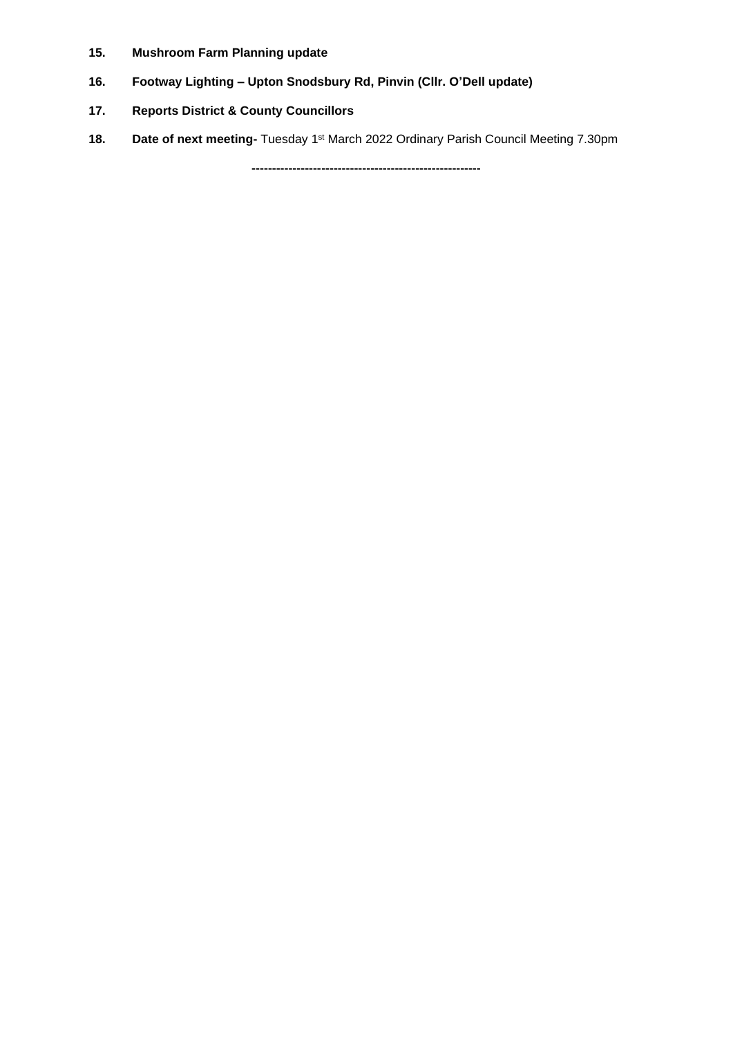- **15. Mushroom Farm Planning update**
- **16. Footway Lighting – Upton Snodsbury Rd, Pinvin (Cllr. O'Dell update)**
- **17. Reports District & County Councillors**
- 18. **Date of next meeting-** Tuesday 1<sup>st</sup> March 2022 Ordinary Parish Council Meeting 7.30pm

**--------------------------------------------------------**